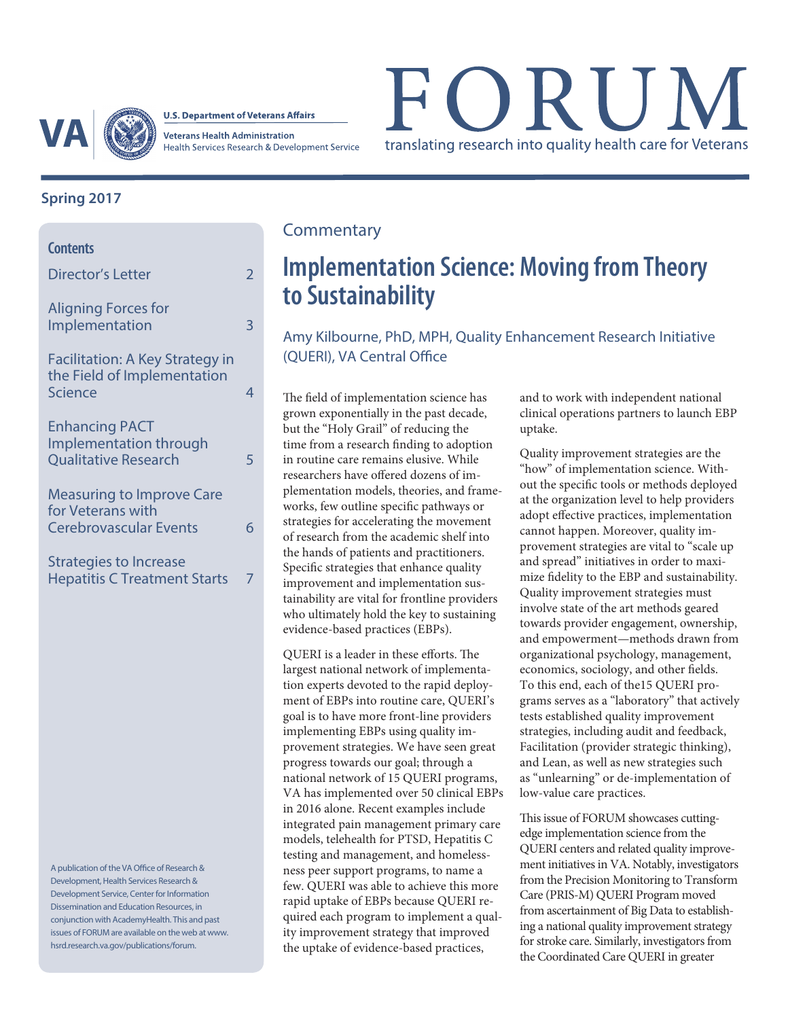

**U.S. Department of Veterans Affairs** 

**Veterans Health Administration** Health Services Research & Development Service

# FORUM translating research into quality health care for Veterans

### **Spring 2017**

| <b>Contents</b>                                                                        |               |
|----------------------------------------------------------------------------------------|---------------|
| Director's Letter                                                                      | $\mathcal{P}$ |
| <b>Aligning Forces for</b><br>Implementation                                           | 3             |
| Facilitation: A Key Strategy in<br>the Field of Implementation<br><b>Science</b>       | 4             |
| <b>Enhancing PACT</b><br>Implementation through<br><b>Qualitative Research</b>         | 5             |
| <b>Measuring to Improve Care</b><br>for Veterans with<br><b>Cerebrovascular Events</b> | 6             |
| Strategies to Increase<br><b>Hepatitis C Treatment Starts</b>                          |               |

A publication of the VA Office of Research & Development, Health Services Research & Development Service, Center for Information Dissemination and Education Resources, in conjunction with AcademyHealth. This and past issues of FORUM are available on the web at www. hsrd.research.va.gov/publications/forum.

### **Commentary**

## **Implementation Science: Moving from Theory to Sustainability**

Amy Kilbourne, PhD, MPH, Quality Enhancement Research Initiative (QUERI), VA Central Office

The field of implementation science has grown exponentially in the past decade, but the "Holy Grail" of reducing the time from a research finding to adoption in routine care remains elusive. While researchers have offered dozens of implementation models, theories, and frameworks, few outline specific pathways or strategies for accelerating the movement of research from the academic shelf into the hands of patients and practitioners. Specific strategies that enhance quality improvement and implementation sustainability are vital for frontline providers who ultimately hold the key to sustaining evidence-based practices (EBPs).

QUERI is a leader in these efforts. The largest national network of implementation experts devoted to the rapid deployment of EBPs into routine care, QUERI's goal is to have more front-line providers implementing EBPs using quality improvement strategies. We have seen great progress towards our goal; through a national network of 15 QUERI programs, VA has implemented over 50 clinical EBPs in 2016 alone. Recent examples include integrated pain management primary care models, telehealth for PTSD, Hepatitis C testing and management, and homelessness peer support programs, to name a few. QUERI was able to achieve this more rapid uptake of EBPs because QUERI required each program to implement a quality improvement strategy that improved the uptake of evidence-based practices,

and to work with independent national clinical operations partners to launch EBP uptake.

Quality improvement strategies are the "how" of implementation science. Without the specific tools or methods deployed at the organization level to help providers adopt effective practices, implementation cannot happen. Moreover, quality improvement strategies are vital to "scale up and spread" initiatives in order to maximize fidelity to the EBP and sustainability. Quality improvement strategies must involve state of the art methods geared towards provider engagement, ownership, and empowerment—methods drawn from organizational psychology, management, economics, sociology, and other fields. To this end, each of the15 QUERI programs serves as a "laboratory" that actively tests established quality improvement strategies, including audit and feedback, Facilitation (provider strategic thinking), and Lean, as well as new strategies such as "unlearning" or de-implementation of low-value care practices.

This issue of FORUM showcases cuttingedge implementation science from the QUERI centers and related quality improvement initiatives in VA. Notably, investigators from the Precision Monitoring to Transform Care (PRIS-M) QUERI Program moved from ascertainment of Big Data to establishing a national quality improvement strategy for stroke care. Similarly, investigators from the Coordinated Care QUERI in greater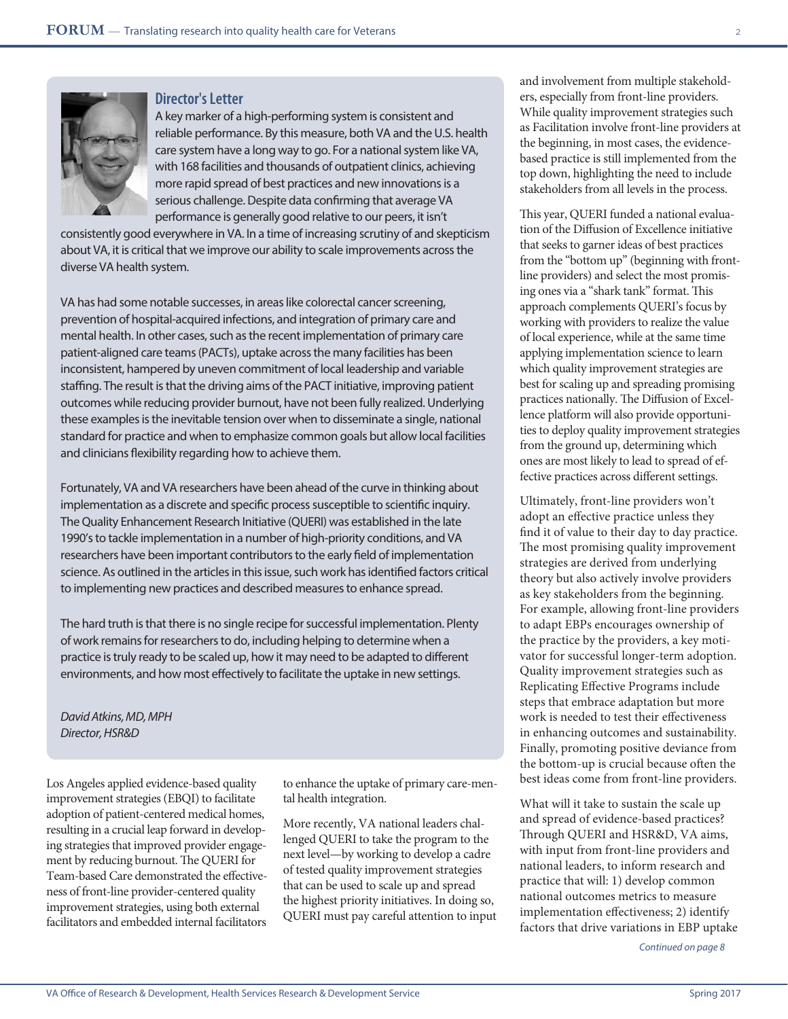



### **Director's Letter**

A key marker of a high-performing system is consistent and reliable performance. By this measure, both VA and the U.S. health care system have a long way to go. For a national system like VA, with 168 facilities and thousands of outpatient clinics, achieving more rapid spread of best practices and new innovations is a serious challenge. Despite data confirming that average VA performance is generally good relative to our peers, it isn't

consistently good everywhere in VA. In a time of increasing scrutiny of and skepticism about VA, it is critical that we improve our ability to scale improvements across the diverse VA health system.

VA has had some notable successes, in areas like colorectal cancer screening, prevention of hospital-acquired infections, and integration of primary care and mental health. In other cases, such as the recent implementation of primary care patient-aligned care teams (PACTs), uptake across the many facilities has been inconsistent, hampered by uneven commitment of local leadership and variable staffing. The result is that the driving aims of the PACT initiative, improving patient outcomes while reducing provider burnout, have not been fully realized. Underlying these examples is the inevitable tension over when to disseminate a single, national standard for practice and when to emphasize common goals but allow local facilities and clinicians flexibility regarding how to achieve them.

Fortunately, VA and VA researchers have been ahead of the curve in thinking about implementation as a discrete and specific process susceptible to scientific inquiry. The Quality Enhancement Research Initiative (QUERI) was established in the late 1990's to tackle implementation in a number of high-priority conditions, and VA researchers have been important contributors to the early field of implementation science. As outlined in the articles in this issue, such work has identified factors critical to implementing new practices and described measures to enhance spread.

The hard truth is that there is no single recipe for successful implementation. Plenty of work remains for researchers to do, including helping to determine when a practice is truly ready to be scaled up, how it may need to be adapted to different environments, and how most effectively to facilitate the uptake in new settings.

*David Atkins, MD, MPH Director, HSR&D*

Los Angeles applied evidence-based quality improvement strategies (EBQI) to facilitate adoption of patient-centered medical homes, resulting in a crucial leap forward in developing strategies that improved provider engagement by reducing burnout. The QUERI for Team-based Care demonstrated the effectiveness of front-line provider-centered quality improvement strategies, using both external facilitators and embedded internal facilitators

to enhance the uptake of primary care-mental health integration.

More recently, VA national leaders challenged QUERI to take the program to the next level—by working to develop a cadre of tested quality improvement strategies that can be used to scale up and spread the highest priority initiatives. In doing so, QUERI must pay careful attention to input and involvement from multiple stakeholders, especially from front-line providers. While quality improvement strategies such as Facilitation involve front-line providers at the beginning, in most cases, the evidencebased practice is still implemented from the top down, highlighting the need to include stakeholders from all levels in the process.

This year, QUERI funded a national evaluation of the Diffusion of Excellence initiative that seeks to garner ideas of best practices from the "bottom up" (beginning with frontline providers) and select the most promising ones via a "shark tank" format. This approach complements QUERI's focus by working with providers to realize the value of local experience, while at the same time applying implementation science to learn which quality improvement strategies are best for scaling up and spreading promising practices nationally. The Diffusion of Excellence platform will also provide opportunities to deploy quality improvement strategies from the ground up, determining which ones are most likely to lead to spread of effective practices across different settings.

Ultimately, front-line providers won't adopt an effective practice unless they find it of value to their day to day practice. The most promising quality improvement strategies are derived from underlying theory but also actively involve providers as key stakeholders from the beginning. For example, allowing front-line providers to adapt EBPs encourages ownership of the practice by the providers, a key motivator for successful longer-term adoption. Quality improvement strategies such as Replicating Effective Programs include steps that embrace adaptation but more work is needed to test their effectiveness in enhancing outcomes and sustainability. Finally, promoting positive deviance from the bottom-up is crucial because often the best ideas come from front-line providers.

What will it take to sustain the scale up and spread of evidence-based practices? Through QUERI and HSR&D, VA aims, with input from front-line providers and national leaders, to inform research and practice that will: 1) develop common national outcomes metrics to measure implementation effectiveness; 2) identify factors that drive variations in EBP uptake

*Continued on page 8*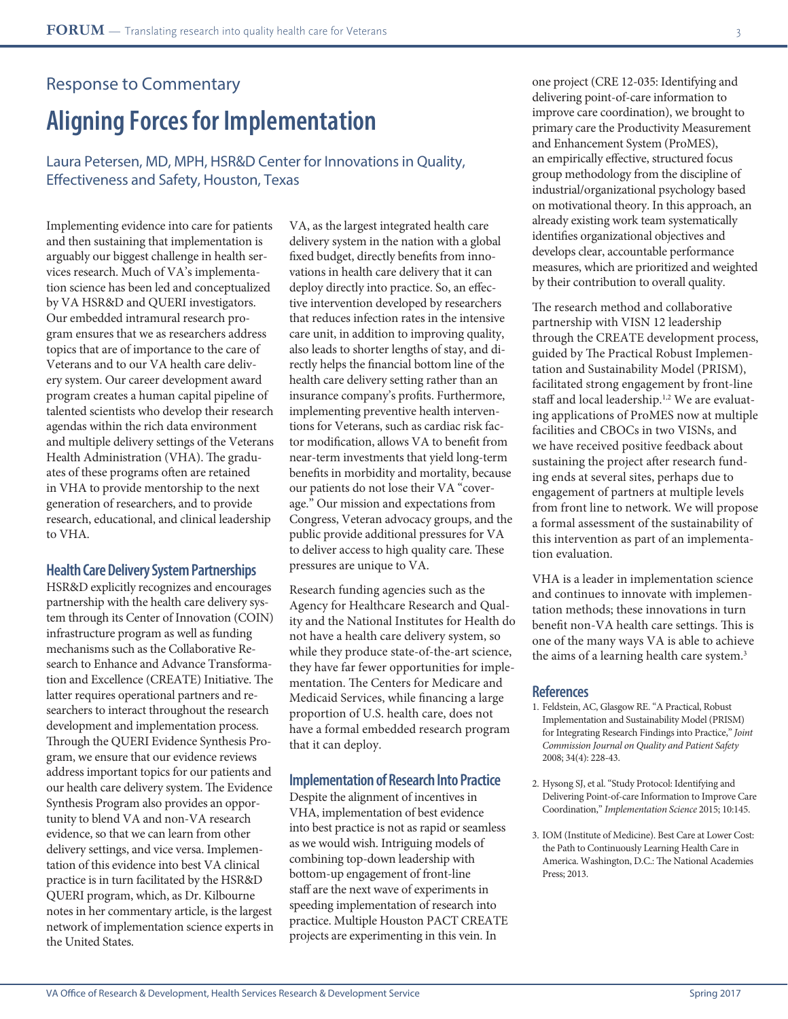## Response to Commentary **Aligning Forces for Implementation**

Laura Petersen, MD, MPH, HSR&D Center for Innovations in Quality, Effectiveness and Safety, Houston, Texas

Implementing evidence into care for patients and then sustaining that implementation is arguably our biggest challenge in health services research. Much of VA's implementation science has been led and conceptualized by VA HSR&D and QUERI investigators. Our embedded intramural research program ensures that we as researchers address topics that are of importance to the care of Veterans and to our VA health care delivery system. Our career development award program creates a human capital pipeline of talented scientists who develop their research agendas within the rich data environment and multiple delivery settings of the Veterans Health Administration (VHA). The graduates of these programs often are retained in VHA to provide mentorship to the next generation of researchers, and to provide research, educational, and clinical leadership to VHA.

#### **Health Care Delivery System Partnerships**

HSR&D explicitly recognizes and encourages partnership with the health care delivery system through its Center of Innovation (COIN) infrastructure program as well as funding mechanisms such as the Collaborative Research to Enhance and Advance Transformation and Excellence (CREATE) Initiative. The latter requires operational partners and researchers to interact throughout the research development and implementation process. Through the QUERI Evidence Synthesis Program, we ensure that our evidence reviews address important topics for our patients and our health care delivery system. The Evidence Synthesis Program also provides an opportunity to blend VA and non-VA research evidence, so that we can learn from other delivery settings, and vice versa. Implementation of this evidence into best VA clinical practice is in turn facilitated by the HSR&D QUERI program, which, as Dr. Kilbourne notes in her commentary article, is the largest network of implementation science experts in the United States.

VA, as the largest integrated health care delivery system in the nation with a global fixed budget, directly benefits from innovations in health care delivery that it can deploy directly into practice. So, an effective intervention developed by researchers that reduces infection rates in the intensive care unit, in addition to improving quality, also leads to shorter lengths of stay, and directly helps the financial bottom line of the health care delivery setting rather than an insurance company's profits. Furthermore, implementing preventive health interventions for Veterans, such as cardiac risk factor modification, allows VA to benefit from near-term investments that yield long-term benefits in morbidity and mortality, because our patients do not lose their VA "coverage." Our mission and expectations from Congress, Veteran advocacy groups, and the public provide additional pressures for VA to deliver access to high quality care. These pressures are unique to VA.

Research funding agencies such as the Agency for Healthcare Research and Quality and the National Institutes for Health do not have a health care delivery system, so while they produce state-of-the-art science, they have far fewer opportunities for implementation. The Centers for Medicare and Medicaid Services, while financing a large proportion of U.S. health care, does not have a formal embedded research program that it can deploy.

#### **Implementation of Research Into Practice**

Despite the alignment of incentives in VHA, implementation of best evidence into best practice is not as rapid or seamless as we would wish. Intriguing models of combining top-down leadership with bottom-up engagement of front-line staff are the next wave of experiments in speeding implementation of research into practice. Multiple Houston PACT CREATE projects are experimenting in this vein. In

one project (CRE 12-035: Identifying and delivering point-of-care information to improve care coordination), we brought to primary care the Productivity Measurement and Enhancement System (ProMES), an empirically effective, structured focus group methodology from the discipline of industrial/organizational psychology based on motivational theory. In this approach, an already existing work team systematically identifies organizational objectives and develops clear, accountable performance measures, which are prioritized and weighted by their contribution to overall quality.

The research method and collaborative partnership with VISN 12 leadership through the CREATE development process, guided by The Practical Robust Implementation and Sustainability Model (PRISM), facilitated strong engagement by front-line staff and local leadership.<sup>1,2</sup> We are evaluating applications of ProMES now at multiple facilities and CBOCs in two VISNs, and we have received positive feedback about sustaining the project after research funding ends at several sites, perhaps due to engagement of partners at multiple levels from front line to network. We will propose a formal assessment of the sustainability of this intervention as part of an implementation evaluation.

VHA is a leader in implementation science and continues to innovate with implementation methods; these innovations in turn benefit non-VA health care settings. This is one of the many ways VA is able to achieve the aims of a learning health care system.<sup>3</sup>

- 1. Feldstein, AC, Glasgow RE. "A Practical, Robust Implementation and Sustainability Model (PRISM) for Integrating Research Findings into Practice," *Joint Commission Journal on Quality and Patient Safety* 2008; 34(4): 228-43.
- 2. Hysong SJ, et al. "Study Protocol: Identifying and Delivering Point-of-care Information to Improve Care Coordination," *Implementation Science* 2015; 10:145.
- 3. IOM (Institute of Medicine). Best Care at Lower Cost: the Path to Continuously Learning Health Care in America. Washington, D.C.: The National Academies Press; 2013.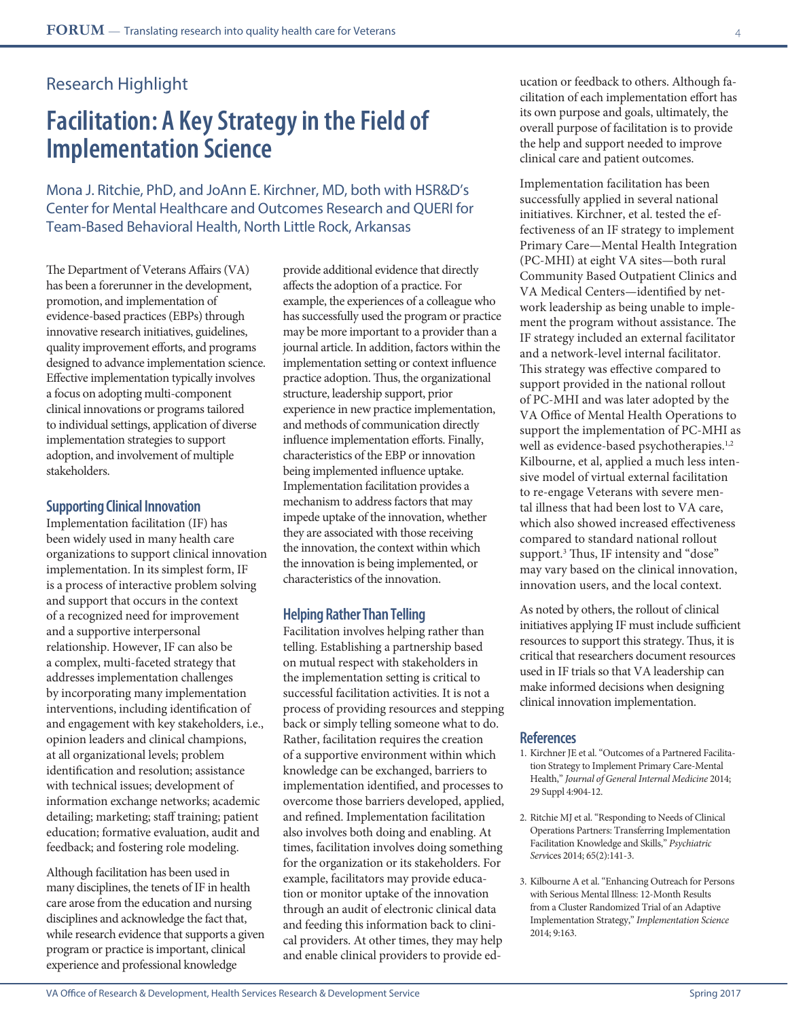## **Facilitation: A Key Strategy in the Field of Implementation Science**

Mona J. Ritchie, PhD, and JoAnn E. Kirchner, MD, both with HSR&D's Center for Mental Healthcare and Outcomes Research and QUERI for Team-Based Behavioral Health, North Little Rock, Arkansas

The Department of Veterans Affairs (VA) has been a forerunner in the development, promotion, and implementation of evidence-based practices (EBPs) through innovative research initiatives, guidelines, quality improvement efforts, and programs designed to advance implementation science. Effective implementation typically involves a focus on adopting multi-component clinical innovations or programs tailored to individual settings, application of diverse implementation strategies to support adoption, and involvement of multiple stakeholders.

#### **Supporting Clinical Innovation**

Implementation facilitation (IF) has been widely used in many health care organizations to support clinical innovation implementation. In its simplest form, IF is a process of interactive problem solving and support that occurs in the context of a recognized need for improvement and a supportive interpersonal relationship. However, IF can also be a complex, multi-faceted strategy that addresses implementation challenges by incorporating many implementation interventions, including identification of and engagement with key stakeholders, i.e., opinion leaders and clinical champions, at all organizational levels; problem identification and resolution; assistance with technical issues; development of information exchange networks; academic detailing; marketing; staff training; patient education; formative evaluation, audit and feedback; and fostering role modeling.

Although facilitation has been used in many disciplines, the tenets of IF in health care arose from the education and nursing disciplines and acknowledge the fact that, while research evidence that supports a given program or practice is important, clinical experience and professional knowledge

provide additional evidence that directly affects the adoption of a practice. For example, the experiences of a colleague who has successfully used the program or practice may be more important to a provider than a journal article. In addition, factors within the implementation setting or context influence practice adoption. Thus, the organizational structure, leadership support, prior experience in new practice implementation, and methods of communication directly influence implementation efforts. Finally, characteristics of the EBP or innovation being implemented influence uptake. Implementation facilitation provides a mechanism to address factors that may impede uptake of the innovation, whether they are associated with those receiving the innovation, the context within which the innovation is being implemented, or characteristics of the innovation.

#### **Helping Rather Than Telling**

Facilitation involves helping rather than telling. Establishing a partnership based on mutual respect with stakeholders in the implementation setting is critical to successful facilitation activities. It is not a process of providing resources and stepping back or simply telling someone what to do. Rather, facilitation requires the creation of a supportive environment within which knowledge can be exchanged, barriers to implementation identified, and processes to overcome those barriers developed, applied, and refined. Implementation facilitation also involves both doing and enabling. At times, facilitation involves doing something for the organization or its stakeholders. For example, facilitators may provide education or monitor uptake of the innovation through an audit of electronic clinical data and feeding this information back to clinical providers. At other times, they may help and enable clinical providers to provide education or feedback to others. Although facilitation of each implementation effort has its own purpose and goals, ultimately, the overall purpose of facilitation is to provide the help and support needed to improve clinical care and patient outcomes.

Implementation facilitation has been successfully applied in several national initiatives. Kirchner, et al. tested the effectiveness of an IF strategy to implement Primary Care—Mental Health Integration (PC-MHI) at eight VA sites—both rural Community Based Outpatient Clinics and VA Medical Centers—identified by network leadership as being unable to implement the program without assistance. The IF strategy included an external facilitator and a network-level internal facilitator. This strategy was effective compared to support provided in the national rollout of PC-MHI and was later adopted by the VA Office of Mental Health Operations to support the implementation of PC-MHI as well as evidence-based psychotherapies.<sup>1,2</sup> Kilbourne, et al, applied a much less intensive model of virtual external facilitation to re-engage Veterans with severe mental illness that had been lost to VA care, which also showed increased effectiveness compared to standard national rollout support.<sup>3</sup> Thus, IF intensity and "dose" may vary based on the clinical innovation, innovation users, and the local context.

As noted by others, the rollout of clinical initiatives applying IF must include sufficient resources to support this strategy. Thus, it is critical that researchers document resources used in IF trials so that VA leadership can make informed decisions when designing clinical innovation implementation.

- 1. Kirchner JE et al. "Outcomes of a Partnered Facilitation Strategy to Implement Primary Care-Mental Health," *Journal of General Internal Medicine* 2014; 29 Suppl 4:904-12.
- 2. Ritchie MJ et al. "Responding to Needs of Clinical Operations Partners: Transferring Implementation Facilitation Knowledge and Skills," *Psychiatric Serv*ices 2014; 65(2):141-3.
- 3. Kilbourne A et al. "Enhancing Outreach for Persons with Serious Mental Illness: 12-Month Results from a Cluster Randomized Trial of an Adaptive Implementation Strategy," *Implementation Science* 2014; 9:163.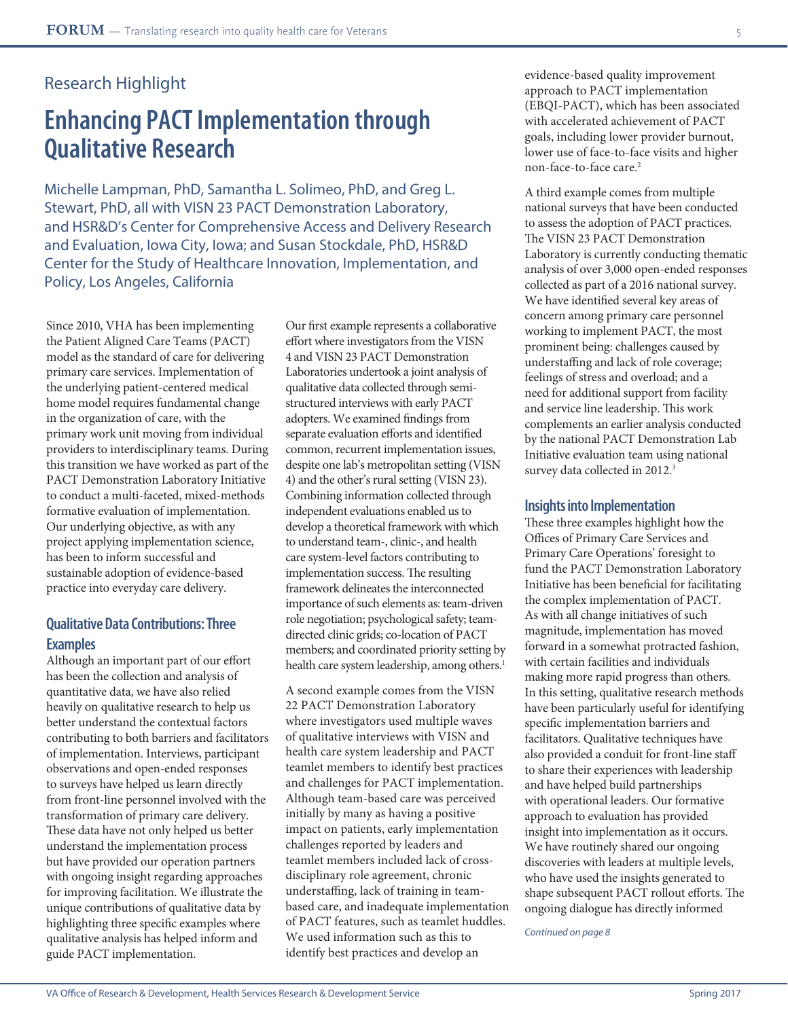## **Enhancing PACT Implementation through Qualitative Research**

Michelle Lampman, PhD, Samantha L. Solimeo, PhD, and Greg L. Stewart, PhD, all with VISN 23 PACT Demonstration Laboratory, and HSR&D's Center for Comprehensive Access and Delivery Research and Evaluation, Iowa City, Iowa; and Susan Stockdale, PhD, HSR&D Center for the Study of Healthcare Innovation, Implementation, and Policy, Los Angeles, California

Since 2010, VHA has been implementing the Patient Aligned Care Teams (PACT) model as the standard of care for delivering primary care services. Implementation of the underlying patient-centered medical home model requires fundamental change in the organization of care, with the primary work unit moving from individual providers to interdisciplinary teams. During this transition we have worked as part of the PACT Demonstration Laboratory Initiative to conduct a multi-faceted, mixed-methods formative evaluation of implementation. Our underlying objective, as with any project applying implementation science, has been to inform successful and sustainable adoption of evidence-based practice into everyday care delivery.

### **Qualitative Data Contributions: Three Examples**

Although an important part of our effort has been the collection and analysis of quantitative data, we have also relied heavily on qualitative research to help us better understand the contextual factors contributing to both barriers and facilitators of implementation. Interviews, participant observations and open-ended responses to surveys have helped us learn directly from front-line personnel involved with the transformation of primary care delivery. These data have not only helped us better understand the implementation process but have provided our operation partners with ongoing insight regarding approaches for improving facilitation. We illustrate the unique contributions of qualitative data by highlighting three specific examples where qualitative analysis has helped inform and guide PACT implementation.

Our first example represents a collaborative effort where investigators from the VISN 4 and VISN 23 PACT Demonstration Laboratories undertook a joint analysis of qualitative data collected through semistructured interviews with early PACT adopters. We examined findings from separate evaluation efforts and identified common, recurrent implementation issues, despite one lab's metropolitan setting (VISN 4) and the other's rural setting (VISN 23). Combining information collected through independent evaluations enabled us to develop a theoretical framework with which to understand team-, clinic-, and health care system-level factors contributing to implementation success. The resulting framework delineates the interconnected importance of such elements as: team-driven role negotiation; psychological safety; teamdirected clinic grids; co-location of PACT members; and coordinated priority setting by health care system leadership, among others.<sup>1</sup>

A second example comes from the VISN 22 PACT Demonstration Laboratory where investigators used multiple waves of qualitative interviews with VISN and health care system leadership and PACT teamlet members to identify best practices and challenges for PACT implementation. Although team-based care was perceived initially by many as having a positive impact on patients, early implementation challenges reported by leaders and teamlet members included lack of crossdisciplinary role agreement, chronic understaffing, lack of training in teambased care, and inadequate implementation of PACT features, such as teamlet huddles. We used information such as this to identify best practices and develop an

evidence-based quality improvement approach to PACT implementation (EBQI-PACT), which has been associated with accelerated achievement of PACT goals, including lower provider burnout, lower use of face-to-face visits and higher non-face-to-face care.2

A third example comes from multiple national surveys that have been conducted to assess the adoption of PACT practices. The VISN 23 PACT Demonstration Laboratory is currently conducting thematic analysis of over 3,000 open-ended responses collected as part of a 2016 national survey. We have identified several key areas of concern among primary care personnel working to implement PACT, the most prominent being: challenges caused by understaffing and lack of role coverage; feelings of stress and overload; and a need for additional support from facility and service line leadership. This work complements an earlier analysis conducted by the national PACT Demonstration Lab Initiative evaluation team using national survey data collected in 2012.<sup>3</sup>

#### **Insights into Implementation**

These three examples highlight how the Offices of Primary Care Services and Primary Care Operations' foresight to fund the PACT Demonstration Laboratory Initiative has been beneficial for facilitating the complex implementation of PACT. As with all change initiatives of such magnitude, implementation has moved forward in a somewhat protracted fashion, with certain facilities and individuals making more rapid progress than others. In this setting, qualitative research methods have been particularly useful for identifying specific implementation barriers and facilitators. Qualitative techniques have also provided a conduit for front-line staff to share their experiences with leadership and have helped build partnerships with operational leaders. Our formative approach to evaluation has provided insight into implementation as it occurs. We have routinely shared our ongoing discoveries with leaders at multiple levels, who have used the insights generated to shape subsequent PACT rollout efforts. The ongoing dialogue has directly informed

*Continued on page 8*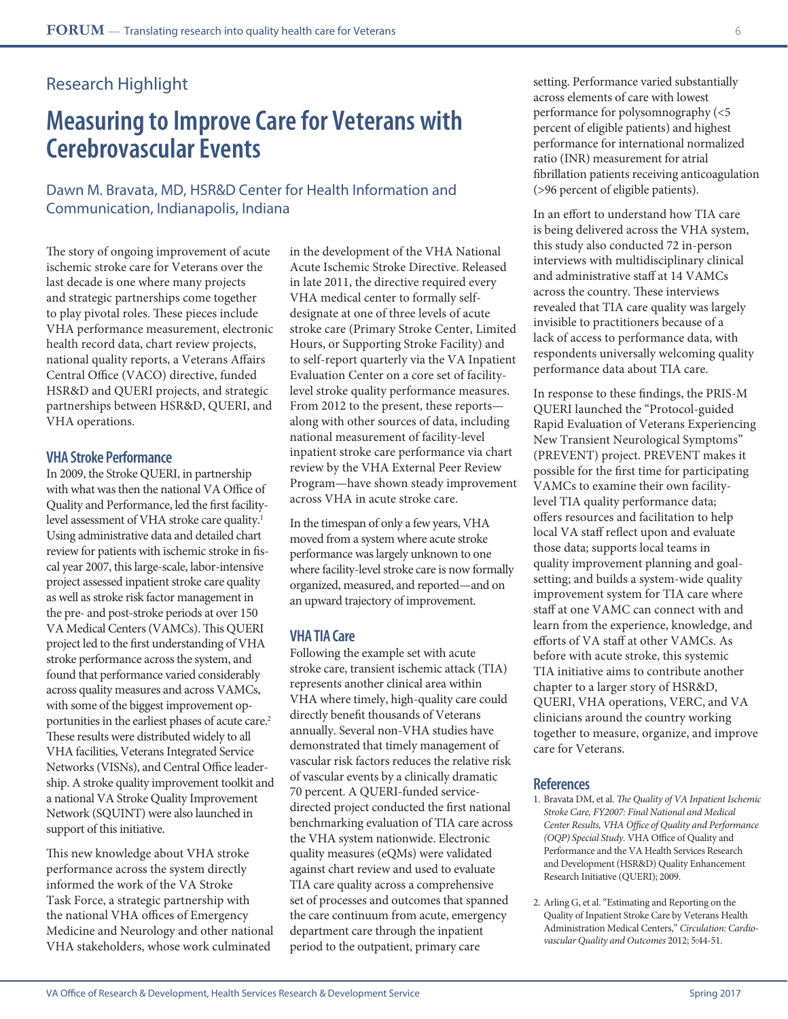## **Measuring to Improve Care for Veterans with Cerebrovascular Events**

Dawn M. Bravata, MD, HSR&D Center for Health Information and Communication, Indianapolis, Indiana

The story of ongoing improvement of acute ischemic stroke care for Veterans over the last decade is one where many projects and strategic partnerships come together to play pivotal roles. These pieces include VHA performance measurement, electronic health record data, chart review projects, national quality reports, a Veterans Affairs Central Office (VACO) directive, funded HSR&D and QUERI projects, and strategic partnerships between HSR&D, QUERI, and VHA operations.

#### **VHA Stroke Performance**

In 2009, the Stroke QUERI, in partnership with what was then the national VA Office of Quality and Performance, led the first facilitylevel assessment of VHA stroke care quality.<sup>1</sup> Using administrative data and detailed chart review for patients with ischemic stroke in fiscal year 2007, this large-scale, labor-intensive project assessed inpatient stroke care quality as well as stroke risk factor management in the pre- and post-stroke periods at over 150 VA Medical Centers (VAMCs). This QUERI project led to the first understanding of VHA stroke performance across the system, and found that performance varied considerably across quality measures and across VAMCs, with some of the biggest improvement opportunities in the earliest phases of acute care.<sup>2</sup> These results were distributed widely to all VHA facilities, Veterans Integrated Service Networks (VISNs), and Central Office leadership. A stroke quality improvement toolkit and a national VA Stroke Quality Improvement Network (SQUINT) were also launched in support of this initiative.

This new knowledge about VHA stroke performance across the system directly informed the work of the VA Stroke Task Force, a strategic partnership with the national VHA offices of Emergency Medicine and Neurology and other national VHA stakeholders, whose work culminated

in the development of the VHA National Acute Ischemic Stroke Directive. Released in late 2011, the directive required every VHA medical center to formally selfdesignate at one of three levels of acute stroke care (Primary Stroke Center, Limited Hours, or Supporting Stroke Facility) and to self-report quarterly via the VA Inpatient Evaluation Center on a core set of facilitylevel stroke quality performance measures. From 2012 to the present, these reports along with other sources of data, including national measurement of facility-level inpatient stroke care performance via chart review by the VHA External Peer Review Program—have shown steady improvement across VHA in acute stroke care.

In the timespan of only a few years, VHA moved from a system where acute stroke performance was largely unknown to one where facility-level stroke care is now formally organized, measured, and reported—and on an upward trajectory of improvement.

#### **VHA TIA Care**

Following the example set with acute stroke care, transient ischemic attack (TIA) represents another clinical area within VHA where timely, high-quality care could directly benefit thousands of Veterans annually. Several non-VHA studies have demonstrated that timely management of vascular risk factors reduces the relative risk of vascular events by a clinically dramatic 70 percent. A QUERI-funded servicedirected project conducted the first national benchmarking evaluation of TIA care across the VHA system nationwide. Electronic quality measures (eQMs) were validated against chart review and used to evaluate TIA care quality across a comprehensive set of processes and outcomes that spanned the care continuum from acute, emergency department care through the inpatient period to the outpatient, primary care

setting. Performance varied substantially across elements of care with lowest performance for polysomnography (<5 percent of eligible patients) and highest performance for international normalized ratio (INR) measurement for atrial fibrillation patients receiving anticoagulation (>96 percent of eligible patients).

In an effort to understand how TIA care is being delivered across the VHA system, this study also conducted 72 in-person interviews with multidisciplinary clinical and administrative staff at 14 VAMCs across the country. These interviews revealed that TIA care quality was largely invisible to practitioners because of a lack of access to performance data, with respondents universally welcoming quality performance data about TIA care.

In response to these findings, the PRIS-M QUERI launched the "Protocol-guided Rapid Evaluation of Veterans Experiencing New Transient Neurological Symptoms" (PREVENT) project. PREVENT makes it possible for the first time for participating VAMCs to examine their own facilitylevel TIA quality performance data; offers resources and facilitation to help local VA staff reflect upon and evaluate those data; supports local teams in quality improvement planning and goalsetting; and builds a system-wide quality improvement system for TIA care where staff at one VAMC can connect with and learn from the experience, knowledge, and efforts of VA staff at other VAMCs. As before with acute stroke, this systemic TIA initiative aims to contribute another chapter to a larger story of HSR&D, QUERI, VHA operations, VERC, and VA clinicians around the country working together to measure, organize, and improve care for Veterans.

- 1. Bravata DM, et al. *The Quality of VA Inpatient Ischemic Stroke Care, FY2007: Final National and Medical Center Results, VHA Office of Quality and Performance (OQP) Special Study.* VHA Office of Quality and Performance and the VA Health Services Research and Development (HSR&D) Quality Enhancement Research Initiative (QUERI); 2009.
- 2. Arling G, et al. "Estimating and Reporting on the Quality of Inpatient Stroke Care by Veterans Health Administration Medical Centers," *Circulation: Cardiovascular Quality and Outcomes* 2012; 5:44-51.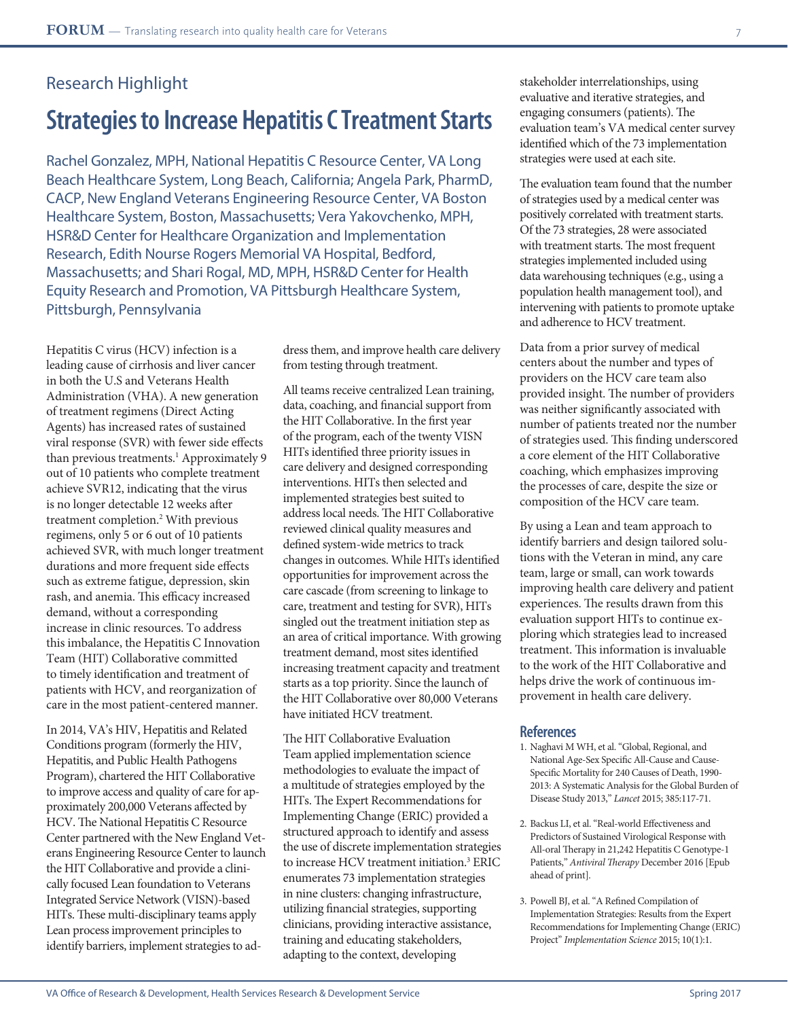## **Strategies to Increase Hepatitis C Treatment Starts**

Rachel Gonzalez, MPH, National Hepatitis C Resource Center, VA Long Beach Healthcare System, Long Beach, California; Angela Park, PharmD, CACP, New England Veterans Engineering Resource Center, VA Boston Healthcare System, Boston, Massachusetts; Vera Yakovchenko, MPH, HSR&D Center for Healthcare Organization and Implementation Research, Edith Nourse Rogers Memorial VA Hospital, Bedford, Massachusetts; and Shari Rogal, MD, MPH, HSR&D Center for Health Equity Research and Promotion, VA Pittsburgh Healthcare System, Pittsburgh, Pennsylvania

Hepatitis C virus (HCV) infection is a leading cause of cirrhosis and liver cancer in both the U.S and Veterans Health Administration (VHA). A new generation of treatment regimens (Direct Acting Agents) has increased rates of sustained viral response (SVR) with fewer side effects than previous treatments.<sup>1</sup> Approximately 9 out of 10 patients who complete treatment achieve SVR12, indicating that the virus is no longer detectable 12 weeks after treatment completion.2 With previous regimens, only 5 or 6 out of 10 patients achieved SVR, with much longer treatment durations and more frequent side effects such as extreme fatigue, depression, skin rash, and anemia. This efficacy increased demand, without a corresponding increase in clinic resources. To address this imbalance, the Hepatitis C Innovation Team (HIT) Collaborative committed to timely identification and treatment of patients with HCV, and reorganization of care in the most patient-centered manner.

In 2014, VA's HIV, Hepatitis and Related Conditions program (formerly the HIV, Hepatitis, and Public Health Pathogens Program), chartered the HIT Collaborative to improve access and quality of care for approximately 200,000 Veterans affected by HCV. The National Hepatitis C Resource Center partnered with the New England Veterans Engineering Resource Center to launch the HIT Collaborative and provide a clinically focused Lean foundation to Veterans Integrated Service Network (VISN)-based HITs. These multi-disciplinary teams apply Lean process improvement principles to identify barriers, implement strategies to address them, and improve health care delivery from testing through treatment.

All teams receive centralized Lean training, data, coaching, and financial support from the HIT Collaborative. In the first year of the program, each of the twenty VISN HITs identified three priority issues in care delivery and designed corresponding interventions. HITs then selected and implemented strategies best suited to address local needs. The HIT Collaborative reviewed clinical quality measures and defined system-wide metrics to track changes in outcomes. While HITs identified opportunities for improvement across the care cascade (from screening to linkage to care, treatment and testing for SVR), HITs singled out the treatment initiation step as an area of critical importance. With growing treatment demand, most sites identified increasing treatment capacity and treatment starts as a top priority. Since the launch of the HIT Collaborative over 80,000 Veterans have initiated HCV treatment.

The HIT Collaborative Evaluation Team applied implementation science methodologies to evaluate the impact of a multitude of strategies employed by the HITs. The Expert Recommendations for Implementing Change (ERIC) provided a structured approach to identify and assess the use of discrete implementation strategies to increase HCV treatment initiation.3 ERIC enumerates 73 implementation strategies in nine clusters: changing infrastructure, utilizing financial strategies, supporting clinicians, providing interactive assistance, training and educating stakeholders, adapting to the context, developing

stakeholder interrelationships, using evaluative and iterative strategies, and engaging consumers (patients). The evaluation team's VA medical center survey identified which of the 73 implementation strategies were used at each site.

The evaluation team found that the number of strategies used by a medical center was positively correlated with treatment starts. Of the 73 strategies, 28 were associated with treatment starts. The most frequent strategies implemented included using data warehousing techniques (e.g., using a population health management tool), and intervening with patients to promote uptake and adherence to HCV treatment.

Data from a prior survey of medical centers about the number and types of providers on the HCV care team also provided insight. The number of providers was neither significantly associated with number of patients treated nor the number of strategies used. This finding underscored a core element of the HIT Collaborative coaching, which emphasizes improving the processes of care, despite the size or composition of the HCV care team.

By using a Lean and team approach to identify barriers and design tailored solutions with the Veteran in mind, any care team, large or small, can work towards improving health care delivery and patient experiences. The results drawn from this evaluation support HITs to continue exploring which strategies lead to increased treatment. This information is invaluable to the work of the HIT Collaborative and helps drive the work of continuous improvement in health care delivery.

- 1. Naghavi M WH, et al. "Global, Regional, and National Age-Sex Specific All-Cause and Cause-Specific Mortality for 240 Causes of Death, 1990- 2013: A Systematic Analysis for the Global Burden of Disease Study 2013," *Lancet* 2015; 385:117-71.
- 2. Backus LI, et al. "Real-world Effectiveness and Predictors of Sustained Virological Response with All-oral Therapy in 21,242 Hepatitis C Genotype-1 Patients," *Antiviral Therapy* December 2016 [Epub ahead of print].
- 3. Powell BJ, et al. "A Refined Compilation of Implementation Strategies: Results from the Expert Recommendations for Implementing Change (ERIC) Project" *Implementation Science* 2015; 10(1):1.